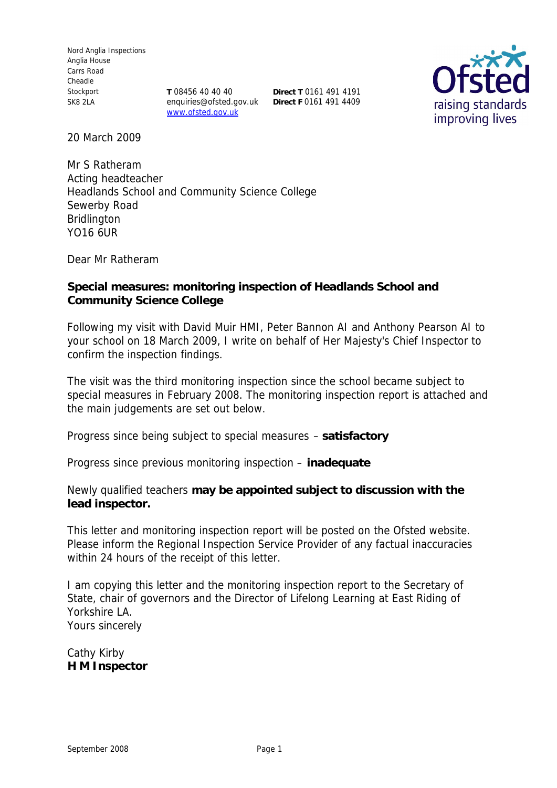Nord Anglia Inspections Anglia House Carrs Road Cheadle Stockport SK8 2LA

**T** 08456 40 40 40 **Direct T** 0161 491 4191 enquiries@ofsted.gov.uk **Direct F** 0161 491 4409www.ofsted.gov.uk



20 March 2009

Mr S Ratheram Acting headteacher Headlands School and Community Science College Sewerby Road Bridlington YO16 6UR

Dear Mr Ratheram

**Special measures: monitoring inspection of Headlands School and Community Science College**

Following my visit with David Muir HMI, Peter Bannon AI and Anthony Pearson AI to your school on 18 March 2009, I write on behalf of Her Majesty's Chief Inspector to confirm the inspection findings.

The visit was the third monitoring inspection since the school became subject to special measures in February 2008. The monitoring inspection report is attached and the main judgements are set out below.

Progress since being subject to special measures – **satisfactory**

Progress since previous monitoring inspection – **inadequate**

Newly qualified teachers **may be appointed subject to discussion with the lead inspector.**

This letter and monitoring inspection report will be posted on the Ofsted website. Please inform the Regional Inspection Service Provider of any factual inaccuracies within 24 hours of the receipt of this letter.

I am copying this letter and the monitoring inspection report to the Secretary of State, chair of governors and the Director of Lifelong Learning at East Riding of Yorkshire LA. Yours sincerely

Cathy Kirby **H M Inspector**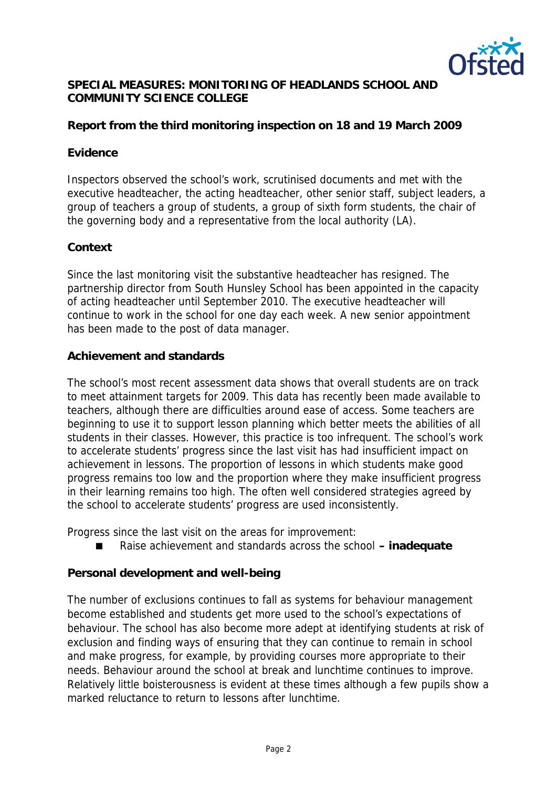

#### **SPECIAL MEASURES: MONITORING OF HEADLANDS SCHOOL AND COMMUNITY SCIENCE COLLEGE**

## **Report from the third monitoring inspection on 18 and 19 March 2009**

#### **Evidence**

Inspectors observed the school's work, scrutinised documents and met with the executive headteacher, the acting headteacher, other senior staff, subject leaders, a group of teachers a group of students, a group of sixth form students, the chair of the governing body and a representative from the local authority (LA).

#### **Context**

Since the last monitoring visit the substantive headteacher has resigned. The partnership director from South Hunsley School has been appointed in the capacity of acting headteacher until September 2010. The executive headteacher will continue to work in the school for one day each week. A new senior appointment has been made to the post of data manager.

#### **Achievement and standards**

The school's most recent assessment data shows that overall students are on track to meet attainment targets for 2009. This data has recently been made available to teachers, although there are difficulties around ease of access. Some teachers are beginning to use it to support lesson planning which better meets the abilities of all students in their classes. However, this practice is too infrequent. The school's work to accelerate students' progress since the last visit has had insufficient impact on achievement in lessons. The proportion of lessons in which students make good progress remains too low and the proportion where they make insufficient progress in their learning remains too high. The often well considered strategies agreed by the school to accelerate students' progress are used inconsistently.

Progress since the last visit on the areas for improvement:

■ Raise achievement and standards across the school – inadequate

### **Personal development and well-being**

The number of exclusions continues to fall as systems for behaviour management become established and students get more used to the school's expectations of behaviour. The school has also become more adept at identifying students at risk of exclusion and finding ways of ensuring that they can continue to remain in school and make progress, for example, by providing courses more appropriate to their needs. Behaviour around the school at break and lunchtime continues to improve. Relatively little boisterousness is evident at these times although a few pupils show a marked reluctance to return to lessons after lunchtime.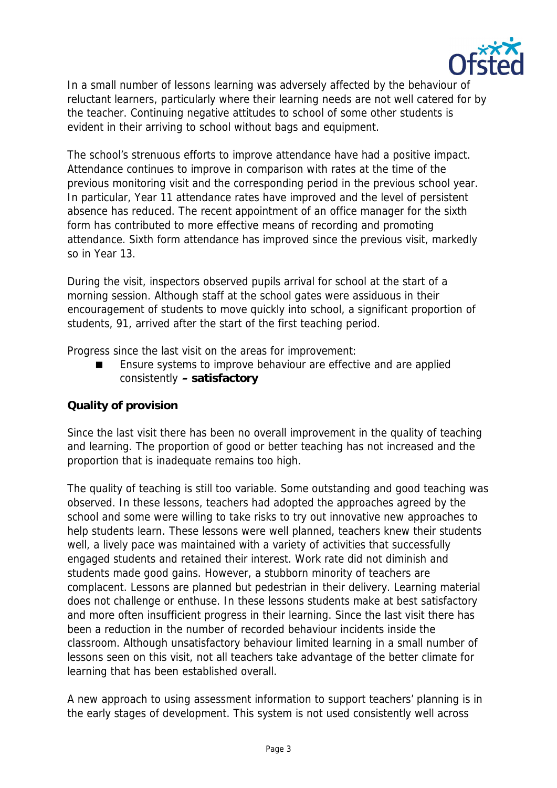

In a small number of lessons learning was adversely affected by the behaviour of reluctant learners, particularly where their learning needs are not well catered for by the teacher. Continuing negative attitudes to school of some other students is evident in their arriving to school without bags and equipment.

The school's strenuous efforts to improve attendance have had a positive impact. Attendance continues to improve in comparison with rates at the time of the previous monitoring visit and the corresponding period in the previous school year. In particular, Year 11 attendance rates have improved and the level of persistent absence has reduced. The recent appointment of an office manager for the sixth form has contributed to more effective means of recording and promoting attendance. Sixth form attendance has improved since the previous visit, markedly so in Year 13.

During the visit, inspectors observed pupils arrival for school at the start of a morning session. Although staff at the school gates were assiduous in their encouragement of students to move quickly into school, a significant proportion of students, 91, arrived after the start of the first teaching period.

Progress since the last visit on the areas for improvement:

 Ensure systems to improve behaviour are effective and are applied consistently **– satisfactory**

# **Quality of provision**

Since the last visit there has been no overall improvement in the quality of teaching and learning. The proportion of good or better teaching has not increased and the proportion that is inadequate remains too high.

The quality of teaching is still too variable. Some outstanding and good teaching was observed. In these lessons, teachers had adopted the approaches agreed by the school and some were willing to take risks to try out innovative new approaches to help students learn. These lessons were well planned, teachers knew their students well, a lively pace was maintained with a variety of activities that successfully engaged students and retained their interest. Work rate did not diminish and students made good gains. However, a stubborn minority of teachers are complacent. Lessons are planned but pedestrian in their delivery. Learning material does not challenge or enthuse. In these lessons students make at best satisfactory and more often insufficient progress in their learning. Since the last visit there has been a reduction in the number of recorded behaviour incidents inside the classroom. Although unsatisfactory behaviour limited learning in a small number of lessons seen on this visit, not all teachers take advantage of the better climate for learning that has been established overall.

A new approach to using assessment information to support teachers' planning is in the early stages of development. This system is not used consistently well across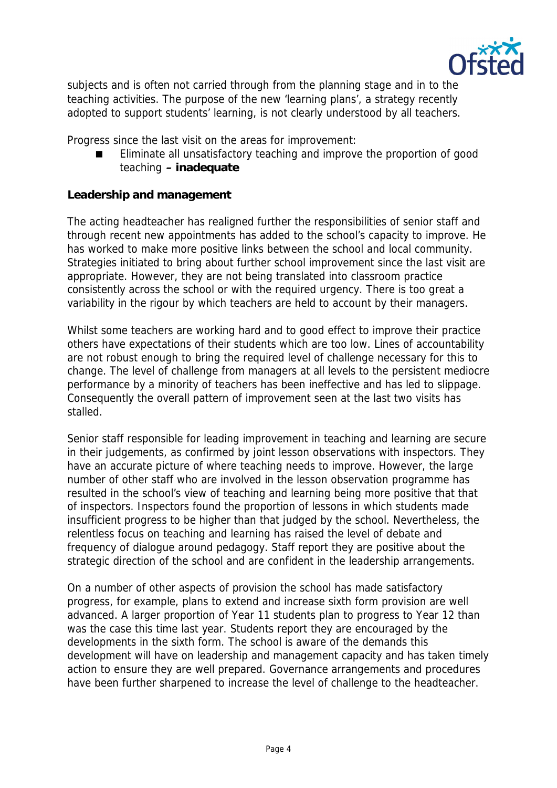

subjects and is often not carried through from the planning stage and in to the teaching activities. The purpose of the new 'learning plans', a strategy recently adopted to support students' learning, is not clearly understood by all teachers.

Progress since the last visit on the areas for improvement:

 Eliminate all unsatisfactory teaching and improve the proportion of good teaching **– inadequate**

**Leadership and management**

The acting headteacher has realigned further the responsibilities of senior staff and through recent new appointments has added to the school's capacity to improve. He has worked to make more positive links between the school and local community. Strategies initiated to bring about further school improvement since the last visit are appropriate. However, they are not being translated into classroom practice consistently across the school or with the required urgency. There is too great a variability in the rigour by which teachers are held to account by their managers.

Whilst some teachers are working hard and to good effect to improve their practice others have expectations of their students which are too low. Lines of accountability are not robust enough to bring the required level of challenge necessary for this to change. The level of challenge from managers at all levels to the persistent mediocre performance by a minority of teachers has been ineffective and has led to slippage. Consequently the overall pattern of improvement seen at the last two visits has stalled.

Senior staff responsible for leading improvement in teaching and learning are secure in their judgements, as confirmed by joint lesson observations with inspectors. They have an accurate picture of where teaching needs to improve. However, the large number of other staff who are involved in the lesson observation programme has resulted in the school's view of teaching and learning being more positive that that of inspectors. Inspectors found the proportion of lessons in which students made insufficient progress to be higher than that judged by the school. Nevertheless, the relentless focus on teaching and learning has raised the level of debate and frequency of dialogue around pedagogy. Staff report they are positive about the strategic direction of the school and are confident in the leadership arrangements.

On a number of other aspects of provision the school has made satisfactory progress, for example, plans to extend and increase sixth form provision are well advanced. A larger proportion of Year 11 students plan to progress to Year 12 than was the case this time last year. Students report they are encouraged by the developments in the sixth form. The school is aware of the demands this development will have on leadership and management capacity and has taken timely action to ensure they are well prepared. Governance arrangements and procedures have been further sharpened to increase the level of challenge to the headteacher.